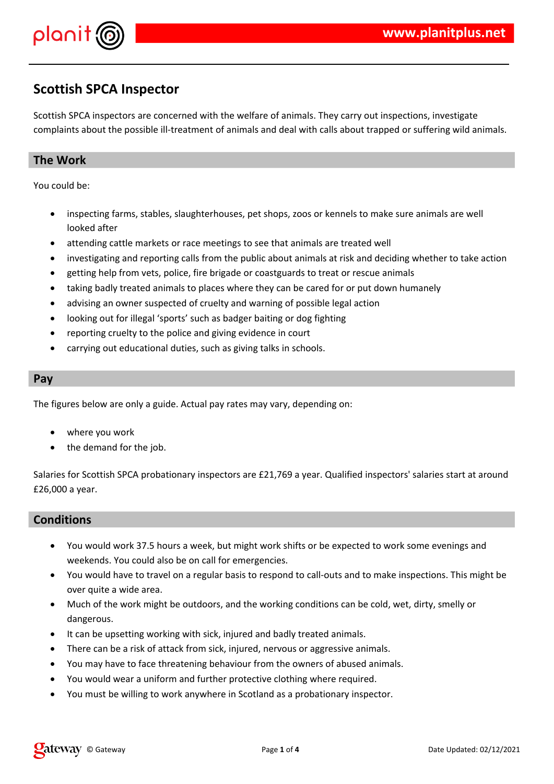



# **Scottish SPCA Inspector**

Scottish SPCA inspectors are concerned with the welfare of animals. They carry out inspections, investigate complaints about the possible ill-treatment of animals and deal with calls about trapped or suffering wild animals.

### **The Work**

You could be:

- inspecting farms, stables, slaughterhouses, pet shops, zoos or kennels to make sure animals are well looked after
- attending cattle markets or race meetings to see that animals are treated well
- investigating and reporting calls from the public about animals at risk and deciding whether to take action
- getting help from vets, police, fire brigade or coastguards to treat or rescue animals
- taking badly treated animals to places where they can be cared for or put down humanely
- advising an owner suspected of cruelty and warning of possible legal action
- looking out for illegal 'sports' such as badger baiting or dog fighting
- reporting cruelty to the police and giving evidence in court
- carrying out educational duties, such as giving talks in schools.

#### **Pay**

The figures below are only a guide. Actual pay rates may vary, depending on:

- where you work
- the demand for the job.

Salaries for Scottish SPCA probationary inspectors are £21,769 a year. Qualified inspectors' salaries start at around £26,000 a year.

#### **Conditions**

- You would work 37.5 hours a week, but might work shifts or be expected to work some evenings and weekends. You could also be on call for emergencies.
- You would have to travel on a regular basis to respond to call-outs and to make inspections. This might be over quite a wide area.
- Much of the work might be outdoors, and the working conditions can be cold, wet, dirty, smelly or dangerous.
- It can be upsetting working with sick, injured and badly treated animals.
- There can be a risk of attack from sick, injured, nervous or aggressive animals.
- You may have to face threatening behaviour from the owners of abused animals.
- You would wear a uniform and further protective clothing where required.
- You must be willing to work anywhere in Scotland as a probationary inspector.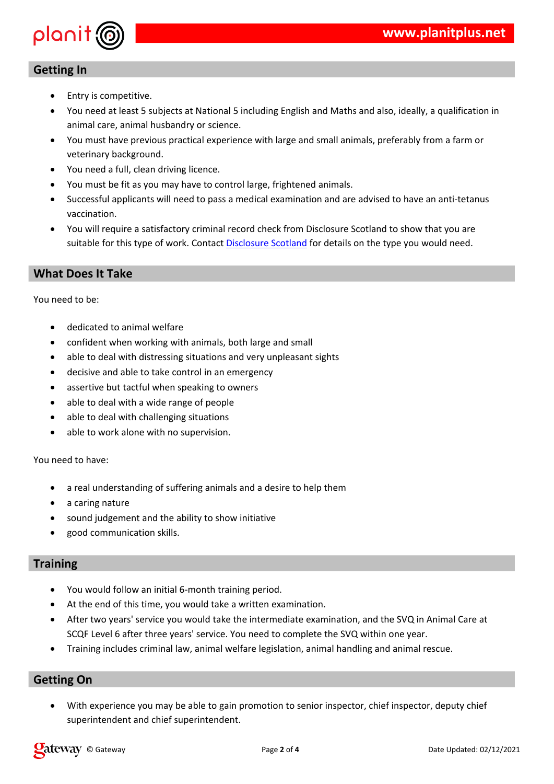#### $\frac{2}{4}$  $\begin{array}{c} 9 \\ 1 \end{array}$ " % ,  $\overline{7}$  $\overline{9}$  $6 "#$  $\mathbf{u}$  $\#$  $\overline{4}$  $\frac{9}{6}$  $\bar{\mathbf{u}}$  $#$  $\bar{\mathbf{r}}$  $\sqrt{2}$  $\frac{1}{2}$  $\bar{\mathbf{u}}$ J.  $\mathfrak s$  $\overline{5}$  $\#$  $\frac{9}{1}$ \$  $\lambda$  $\mathbf{r}^{\prime}$  $\bar{\mathbf{u}}$  $\boldsymbol{\$}$  $#$  $\bar{C}$  $\bar{\mathbf{u}}$  $\#$  $\overline{1}$  $\overline{1}$ \$  $\frac{0}{0}$  $\overline{5}$  $\sqrt[6]{\frac{1}{2}}$  $\sqrt[6]{\frac{1}{2}}$  $\bar{\mathbf{u}}$  $\&$  $\begin{array}{c} \mathfrak{F} \\ \vdots \\ \end{array}$ )  $\frac{1}{n}$  $6"$  $\bar{\mathbf{u}}$  $\blacksquare$

 $\ell \geq 0$  $\frac{1}{2}$ 

 $\bar{\mathbf{u}}$ 

 $\%$ 

 $\big)$ 



 $\mathbf{u}$  $\overline{5}$  $\%$ <br> <br> <br> <br> <br> <br> <br> <br> <br><br><br><br><br><br><br><br><br><br><br><br><br><br><br><br><br>  $\frac{1}{2}$  $\frac{1}{2}$   $#$ 

 $\blacksquare$ 

 $\mathbf{u}$ 

 $\mathbf{u}$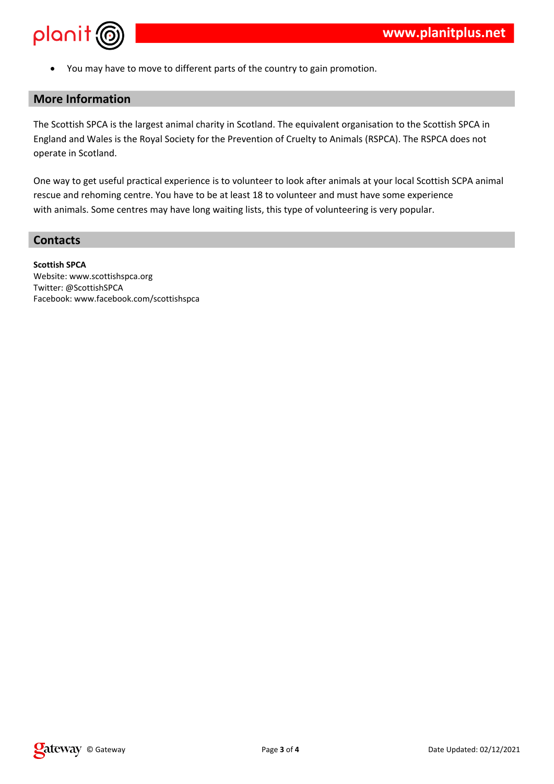

You may have to move to different parts of the country to gain promotion.

## **More Information**

The Scottish SPCA is the largest animal charity in Scotland. The equivalent organisation to the Scottish SPCA in England and Wales is the Royal Society for the Prevention of Cruelty to Animals (RSPCA). The RSPCA does not operate in Scotland.

One way to get useful practical experience is to volunteer to look after animals at your local Scottish SCPA animal rescue and rehoming centre. You have to be at least 18 to volunteer and must have some experience with animals. Some centres may have long waiting lists, this type of volunteering is very popular.

### **Contacts**

**Scottish SPCA** Website: www.scottishspca.org Twitter: @ScottishSPCA Facebook: www.facebook.com/scottishspca